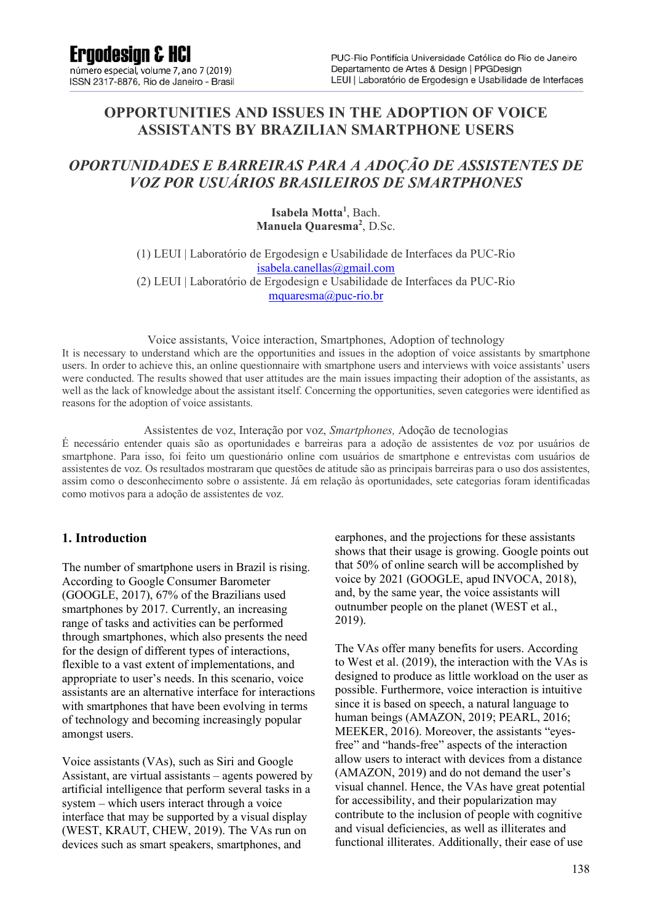### **OPPORTUNITIES AND ISSUES IN THE ADOPTION OF VOICE ASSISTANTS BY BRAZILIAN SMARTPHONE USERS**

### *OPORTUNIDADES E BARREIRAS PARA A ADOÇÃO DE ASSISTENTES DE VOZ POR USUÁRIOS BRASILEIROS DE SMARTPHONES*

Isabela Motta<sup>1</sup>, Bach. **Manuela Quaresma<sup>2</sup>** , D.Sc.

(1) LEUI | Laboratório de Ergodesign e Usabilidade de Interfaces da PUC-Rio isabela.canellas@gmail.com (2) LEUI | Laboratório de Ergodesign e Usabilidade de Interfaces da PUC-Rio mquaresma@puc-rio.br

Voice assistants, Voice interaction, Smartphones, Adoption of technology

It is necessary to understand which are the opportunities and issues in the adoption of voice assistants by smartphone users. In order to achieve this, an online questionnaire with smartphone users and interviews with voice assistants' users were conducted. The results showed that user attitudes are the main issues impacting their adoption of the assistants, as well as the lack of knowledge about the assistant itself. Concerning the opportunities, seven categories were identified as reasons for the adoption of voice assistants.

Assistentes de voz, Interação por voz, *Smartphones,* Adoção de tecnologias

É necessário entender quais são as oportunidades e barreiras para a adoção de assistentes de voz por usuários de smartphone. Para isso, foi feito um questionário online com usuários de smartphone e entrevistas com usuários de assistentes de voz. Os resultados mostraram que questões de atitude são as principais barreiras para o uso dos assistentes, assim como o desconhecimento sobre o assistente. Já em relação às oportunidades, sete categorias foram identificadas como motivos para a adoção de assistentes de voz.

#### **1. Introduction**

The number of smartphone users in Brazil is rising. According to Google Consumer Barometer (GOOGLE, 2017), 67% of the Brazilians used smartphones by 2017. Currently, an increasing range of tasks and activities can be performed through smartphones, which also presents the need for the design of different types of interactions, flexible to a vast extent of implementations, and appropriate to user's needs. In this scenario, voice assistants are an alternative interface for interactions with smartphones that have been evolving in terms of technology and becoming increasingly popular amongst users.

Voice assistants (VAs), such as Siri and Google Assistant, are virtual assistants – agents powered by artificial intelligence that perform several tasks in a system – which users interact through a voice interface that may be supported by a visual display (WEST, KRAUT, CHEW, 2019). The VAs run on devices such as smart speakers, smartphones, and

earphones, and the projections for these assistants shows that their usage is growing. Google points out that 50% of online search will be accomplished by voice by 2021 (GOOGLE, apud INVOCA, 2018), and, by the same year, the voice assistants will outnumber people on the planet (WEST et al., 2019).

The VAs offer many benefits for users. According to West et al. (2019), the interaction with the VAs is designed to produce as little workload on the user as possible. Furthermore, voice interaction is intuitive since it is based on speech, a natural language to human beings (AMAZON, 2019; PEARL, 2016; MEEKER, 2016). Moreover, the assistants "eyesfree" and "hands-free" aspects of the interaction allow users to interact with devices from a distance (AMAZON, 2019) and do not demand the user's visual channel. Hence, the VAs have great potential for accessibility, and their popularization may contribute to the inclusion of people with cognitive and visual deficiencies, as well as illiterates and functional illiterates. Additionally, their ease of use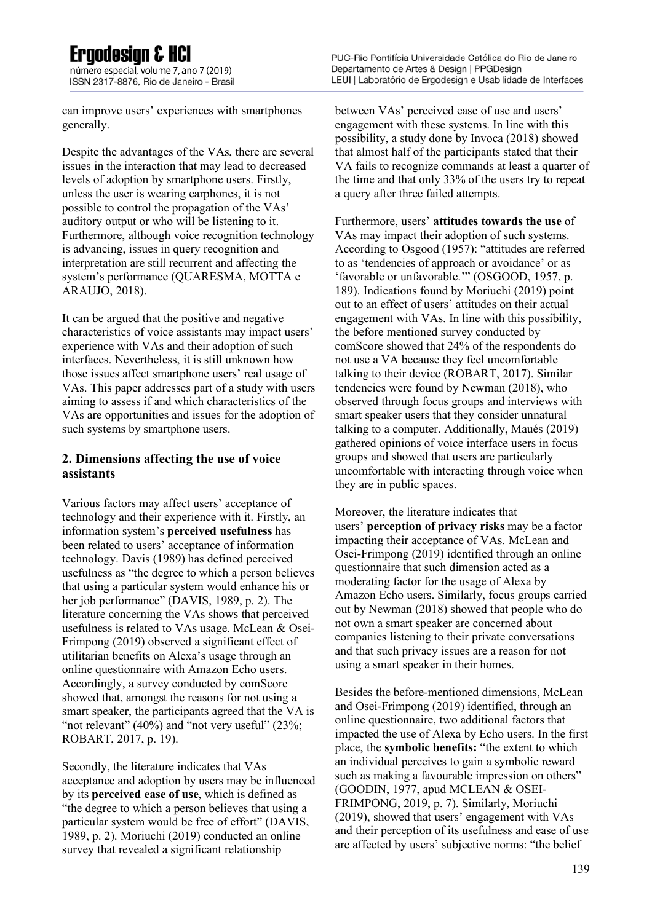número especial, volume 7, ano 7 (2019) ISSN 2317-8876, Rio de Janeiro - Brasil

can improve users' experiences with smartphones generally.

Despite the advantages of the VAs, there are several issues in the interaction that may lead to decreased levels of adoption by smartphone users. Firstly, unless the user is wearing earphones, it is not possible to control the propagation of the VAs' auditory output or who will be listening to it. Furthermore, although voice recognition technology is advancing, issues in query recognition and interpretation are still recurrent and affecting the system's performance (QUARESMA, MOTTA e ARAUJO, 2018).

It can be argued that the positive and negative characteristics of voice assistants may impact users' experience with VAs and their adoption of such interfaces. Nevertheless, it is still unknown how those issues affect smartphone users' real usage of VAs. This paper addresses part of a study with users aiming to assess if and which characteristics of the VAs are opportunities and issues for the adoption of such systems by smartphone users.

### **2. Dimensions affecting the use of voice assistants**

Various factors may affect users' acceptance of technology and their experience with it. Firstly, an information system's **perceived usefulness** has been related to users' acceptance of information technology. Davis (1989) has defined perceived usefulness as "the degree to which a person believes that using a particular system would enhance his or her job performance" (DAVIS, 1989, p. 2). The literature concerning the VAs shows that perceived usefulness is related to VAs usage. McLean & Osei-Frimpong (2019) observed a significant effect of utilitarian benefits on Alexa's usage through an online questionnaire with Amazon Echo users. Accordingly, a survey conducted by comScore showed that, amongst the reasons for not using a smart speaker, the participants agreed that the VA is "not relevant"  $(40\%)$  and "not very useful"  $(23\%).$ ROBART, 2017, p. 19).

Secondly, the literature indicates that VAs acceptance and adoption by users may be influenced by its **perceived ease of use**, which is defined as "the degree to which a person believes that using a particular system would be free of effort" (DAVIS, 1989, p. 2). Moriuchi (2019) conducted an online survey that revealed a significant relationship

between VAs' perceived ease of use and users' engagement with these systems. In line with this possibility, a study done by Invoca (2018) showed that almost half of the participants stated that their VA fails to recognize commands at least a quarter of the time and that only 33% of the users try to repeat a query after three failed attempts.

Furthermore, users' **attitudes towards the use** of VAs may impact their adoption of such systems. According to Osgood (1957): "attitudes are referred to as 'tendencies of approach or avoidance' or as 'favorable or unfavorable.'" (OSGOOD, 1957, p. 189). Indications found by Moriuchi (2019) point out to an effect of users' attitudes on their actual engagement with VAs. In line with this possibility, the before mentioned survey conducted by comScore showed that 24% of the respondents do not use a VA because they feel uncomfortable talking to their device (ROBART, 2017). Similar tendencies were found by Newman (2018), who observed through focus groups and interviews with smart speaker users that they consider unnatural talking to a computer. Additionally, Maués (2019) gathered opinions of voice interface users in focus groups and showed that users are particularly uncomfortable with interacting through voice when they are in public spaces.

Moreover, the literature indicates that users' **perception of privacy risks** may be a factor impacting their acceptance of VAs. McLean and Osei-Frimpong (2019) identified through an online questionnaire that such dimension acted as a moderating factor for the usage of Alexa by Amazon Echo users. Similarly, focus groups carried out by Newman (2018) showed that people who do not own a smart speaker are concerned about companies listening to their private conversations and that such privacy issues are a reason for not using a smart speaker in their homes.

Besides the before-mentioned dimensions, McLean and Osei-Frimpong (2019) identified, through an online questionnaire, two additional factors that impacted the use of Alexa by Echo users. In the first place, the **symbolic benefits:** "the extent to which an individual perceives to gain a symbolic reward such as making a favourable impression on others" (GOODIN, 1977, apud MCLEAN & OSEI-FRIMPONG, 2019, p. 7). Similarly, Moriuchi (2019), showed that users' engagement with VAs and their perception of its usefulness and ease of use are affected by users' subjective norms: "the belief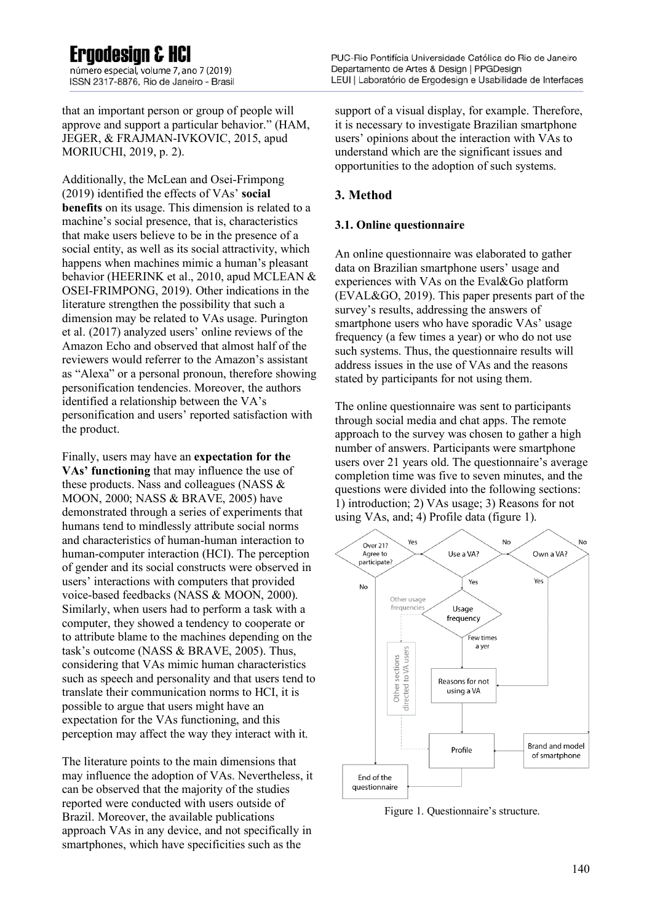## Frandesian & HCI

número especial, volume 7, ano 7 (2019) ISSN 2317-8876, Rio de Janeiro - Brasil

that an important person or group of people will approve and support a particular behavior." (HAM, JEGER, & FRAJMAN-IVKOVIC, 2015, apud MORIUCHI, 2019, p. 2).

Additionally, the McLean and Osei-Frimpong (2019) identified the effects of VAs' **social benefits** on its usage. This dimension is related to a machine's social presence, that is, characteristics that make users believe to be in the presence of a social entity, as well as its social attractivity, which happens when machines mimic a human's pleasant behavior (HEERINK et al., 2010, apud MCLEAN & OSEI-FRIMPONG, 2019). Other indications in the literature strengthen the possibility that such a dimension may be related to VAs usage. Purington et al. (2017) analyzed users' online reviews of the Amazon Echo and observed that almost half of the reviewers would referrer to the Amazon's assistant as "Alexa" or a personal pronoun, therefore showing personification tendencies. Moreover, the authors identified a relationship between the VA's personification and users' reported satisfaction with the product.

Finally, users may have an **expectation for the VAs' functioning** that may influence the use of these products. Nass and colleagues (NASS & MOON, 2000; NASS & BRAVE, 2005) have demonstrated through a series of experiments that humans tend to mindlessly attribute social norms and characteristics of human-human interaction to human-computer interaction (HCI). The perception of gender and its social constructs were observed in users' interactions with computers that provided voice-based feedbacks (NASS & MOON, 2000). Similarly, when users had to perform a task with a computer, they showed a tendency to cooperate or to attribute blame to the machines depending on the task's outcome (NASS & BRAVE, 2005). Thus, considering that VAs mimic human characteristics such as speech and personality and that users tend to translate their communication norms to HCI, it is possible to argue that users might have an expectation for the VAs functioning, and this perception may affect the way they interact with it.

The literature points to the main dimensions that may influence the adoption of VAs. Nevertheless, it can be observed that the majority of the studies reported were conducted with users outside of Brazil. Moreover, the available publications approach VAs in any device, and not specifically in smartphones, which have specificities such as the

support of a visual display, for example. Therefore, it is necessary to investigate Brazilian smartphone users' opinions about the interaction with VAs to understand which are the significant issues and opportunities to the adoption of such systems.

#### **3. Method**

#### **3.1. Online questionnaire**

An online questionnaire was elaborated to gather data on Brazilian smartphone users' usage and experiences with VAs on the Eval&Go platform (EVAL&GO, 2019). This paper presents part of the survey's results, addressing the answers of smartphone users who have sporadic VAs' usage frequency (a few times a year) or who do not use such systems. Thus, the questionnaire results will address issues in the use of VAs and the reasons stated by participants for not using them.

The online questionnaire was sent to participants through social media and chat apps. The remote approach to the survey was chosen to gather a high number of answers. Participants were smartphone users over 21 years old. The questionnaire's average completion time was five to seven minutes, and the questions were divided into the following sections: 1) introduction; 2) VAs usage; 3) Reasons for not using VAs, and; 4) Profile data (figure 1).



Figure 1. Questionnaire's structure.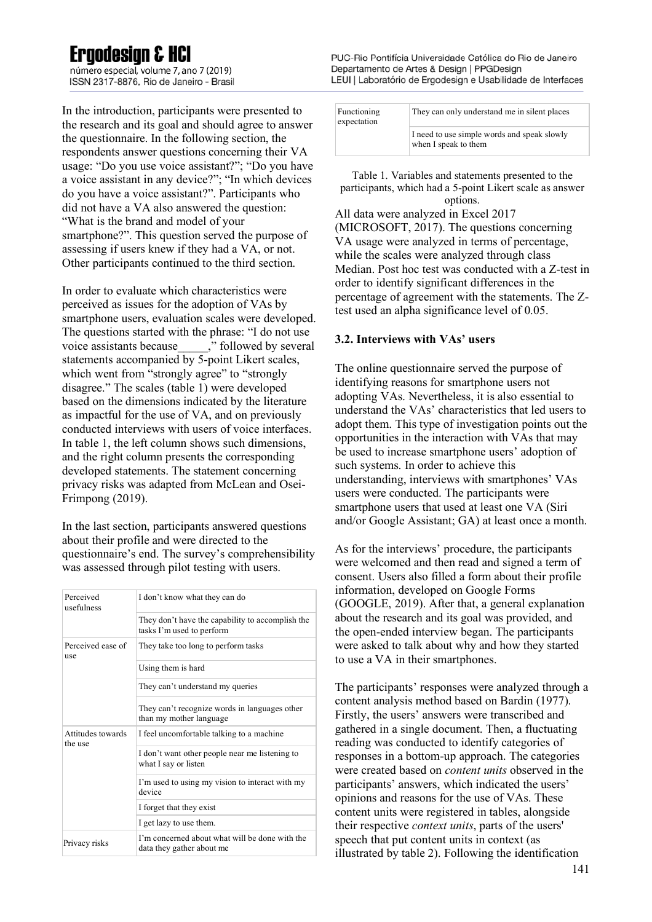número especial, volume 7, ano 7 (2019) ISSN 2317-8876. Rio de Janeiro - Brasil

In the introduction, participants were presented to the research and its goal and should agree to answer the questionnaire. In the following section, the respondents answer questions concerning their VA usage: "Do you use voice assistant?"; "Do you have a voice assistant in any device?"; "In which devices do you have a voice assistant?". Participants who did not have a VA also answered the question: "What is the brand and model of your smartphone?". This question served the purpose of assessing if users knew if they had a VA, or not. Other participants continued to the third section.

In order to evaluate which characteristics were perceived as issues for the adoption of VAs by smartphone users, evaluation scales were developed. The questions started with the phrase: "I do not use voice assistants because  $\qquad \qquad$   $\ddot{ }$  followed by several statements accompanied by 5-point Likert scales, which went from "strongly agree" to "strongly disagree." The scales (table 1) were developed based on the dimensions indicated by the literature as impactful for the use of VA, and on previously conducted interviews with users of voice interfaces. In table 1, the left column shows such dimensions, and the right column presents the corresponding developed statements. The statement concerning privacy risks was adapted from McLean and Osei-Frimpong (2019).

In the last section, participants answered questions about their profile and were directed to the questionnaire's end. The survey's comprehensibility was assessed through pilot testing with users.

| Perceived<br>usefulness      | I don't know what they can do                                                 |  |
|------------------------------|-------------------------------------------------------------------------------|--|
|                              | They don't have the capability to accomplish the<br>tasks I'm used to perform |  |
| Perceived ease of<br>use     | They take too long to perform tasks                                           |  |
|                              | Using them is hard                                                            |  |
|                              | They can't understand my queries                                              |  |
|                              | They can't recognize words in languages other<br>than my mother language      |  |
| Attitudes towards<br>the use | I feel uncomfortable talking to a machine                                     |  |
|                              | I don't want other people near me listening to<br>what I say or listen        |  |
|                              | I'm used to using my vision to interact with my<br>device                     |  |
|                              | I forget that they exist                                                      |  |
|                              | I get lazy to use them.                                                       |  |
| Privacy risks                | I'm concerned about what will be done with the<br>data they gather about me   |  |

PUC-Rio Pontifícia Universidade Católica do Rio de Janeiro Departamento de Artes & Design | PPGDesign LEUI | Laboratório de Ergodesign e Usabilidade de Interfaces

| Functioning<br>expectation | They can only understand me in silent places                        |
|----------------------------|---------------------------------------------------------------------|
|                            | I need to use simple words and speak slowly<br>when I speak to them |

Table 1. Variables and statements presented to the participants, which had a 5-point Likert scale as answer options.

All data were analyzed in Excel 2017 (MICROSOFT, 2017). The questions concerning VA usage were analyzed in terms of percentage, while the scales were analyzed through class Median. Post hoc test was conducted with a Z-test in order to identify significant differences in the percentage of agreement with the statements. The Ztest used an alpha significance level of 0.05.

#### **3.2. Interviews with VAs' users**

The online questionnaire served the purpose of identifying reasons for smartphone users not adopting VAs. Nevertheless, it is also essential to understand the VAs' characteristics that led users to adopt them. This type of investigation points out the opportunities in the interaction with VAs that may be used to increase smartphone users' adoption of such systems. In order to achieve this understanding, interviews with smartphones' VAs users were conducted. The participants were smartphone users that used at least one VA (Siri and/or Google Assistant; GA) at least once a month.

As for the interviews' procedure, the participants were welcomed and then read and signed a term of consent. Users also filled a form about their profile information, developed on Google Forms (GOOGLE, 2019). After that, a general explanation about the research and its goal was provided, and the open-ended interview began. The participants were asked to talk about why and how they started to use a VA in their smartphones.

The participants' responses were analyzed through a content analysis method based on Bardin (1977). Firstly, the users' answers were transcribed and gathered in a single document. Then, a fluctuating reading was conducted to identify categories of responses in a bottom-up approach. The categories were created based on *content units* observed in the participants' answers, which indicated the users' opinions and reasons for the use of VAs. These content units were registered in tables, alongside their respective *context units*, parts of the users' speech that put content units in context (as illustrated by table 2). Following the identification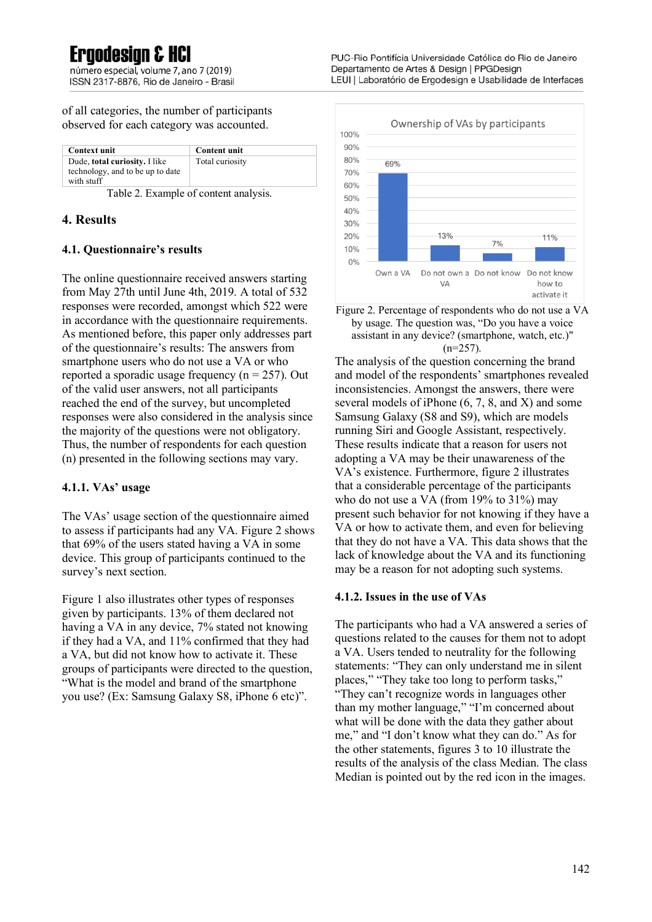# Frandesian & HCl

número especial, volume 7, ano 7 (2019) ISSN 2317-8876. Rio de Janeiro - Brasil

of all categories, the number of participants observed for each category was accounted.

| <b>Context unit</b>                                                             | <b>Content unit</b> |
|---------------------------------------------------------------------------------|---------------------|
| Dude, total curiosity. I like<br>technology, and to be up to date<br>with stuff | Total curiosity     |

Table 2. Example of content analysis.

#### **4. Results**

#### **4.1. Questionnaire's results**

The online questionnaire received answers starting from May 27th until June 4th, 2019. A total of 532 responses were recorded, amongst which 522 were in accordance with the questionnaire requirements. As mentioned before, this paper only addresses part of the questionnaire's results: The answers from smartphone users who do not use a VA or who reported a sporadic usage frequency ( $n = 257$ ). Out of the valid user answers, not all participants reached the end of the survey, but uncompleted responses were also considered in the analysis since the majority of the questions were not obligatory. Thus, the number of respondents for each question (n) presented in the following sections may vary.

### **4.1.1. VAs' usage**

The VAs' usage section of the questionnaire aimed to assess if participants had any VA. Figure 2 shows that 69% of the users stated having a VA in some device. This group of participants continued to the survey's next section.

Figure 1 also illustrates other types of responses given by participants. 13% of them declared not having a VA in any device, 7% stated not knowing if they had a VA, and 11% confirmed that they had a VA, but did not know how to activate it. These groups of participants were directed to the question, "What is the model and brand of the smartphone you use? (Ex: Samsung Galaxy S8, iPhone 6 etc)".



Figure 2. Percentage of respondents who do not use a VA by usage. The question was, "Do you have a voice assistant in any device? (smartphone, watch, etc.)"  $(n=257)$ .

The analysis of the question concerning the brand and model of the respondents' smartphones revealed inconsistencies. Amongst the answers, there were several models of iPhone (6, 7, 8, and X) and some Samsung Galaxy (S8 and S9), which are models running Siri and Google Assistant, respectively. These results indicate that a reason for users not adopting a VA may be their unawareness of the VA's existence. Furthermore, figure 2 illustrates that a considerable percentage of the participants who do not use a VA (from 19% to 31%) may present such behavior for not knowing if they have a VA or how to activate them, and even for believing that they do not have a VA. This data shows that the lack of knowledge about the VA and its functioning may be a reason for not adopting such systems.

#### **4.1.2. Issues in the use of VAs**

The participants who had a VA answered a series of questions related to the causes for them not to adopt a VA. Users tended to neutrality for the following statements: "They can only understand me in silent places," "They take too long to perform tasks," "They can't recognize words in languages other than my mother language," "I'm concerned about what will be done with the data they gather about me," and "I don't know what they can do." As for the other statements, figures 3 to 10 illustrate the results of the analysis of the class Median. The class Median is pointed out by the red icon in the images.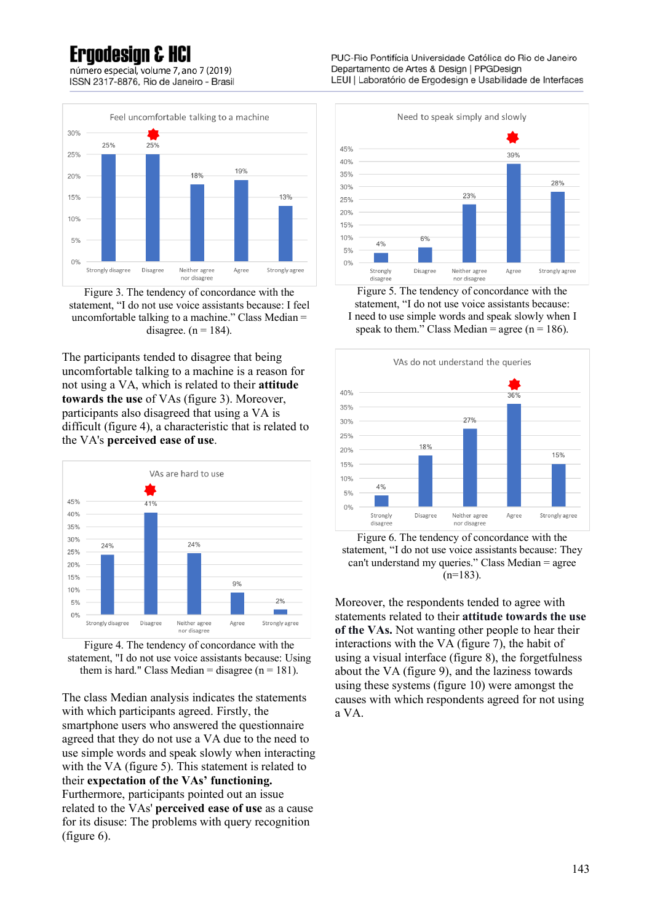## Frandesian & HCl

número especial, volume 7, ano 7 (2019) ISSN 2317-8876, Rio de Janeiro - Brasil



Figure 3. The tendency of concordance with the statement, "I do not use voice assistants because: I feel uncomfortable talking to a machine." Class Median = disagree.  $(n = 184)$ .

The participants tended to disagree that being uncomfortable talking to a machine is a reason for not using a VA, which is related to their **attitude towards the use** of VAs (figure 3). Moreover, participants also disagreed that using a VA is difficult (figure 4), a characteristic that is related to the VA's **perceived ease of use**.



Figure 4. The tendency of concordance with the statement, "I do not use voice assistants because: Using them is hard." Class Median = disagree  $(n = 181)$ .

The class Median analysis indicates the statements with which participants agreed. Firstly, the smartphone users who answered the questionnaire agreed that they do not use a VA due to the need to use simple words and speak slowly when interacting with the VA (figure 5). This statement is related to their **expectation of the VAs' functioning.**  Furthermore, participants pointed out an issue related to the VAs' **perceived ease of use** as a cause for its disuse: The problems with query recognition (figure 6).

PUC-Rio Pontifícia Universidade Católica do Rio de Janeiro Departamento de Artes & Design | PPGDesign LEUI | Laboratório de Ergodesign e Usabilidade de Interfaces



Figure 5. The tendency of concordance with the statement, "I do not use voice assistants because: I need to use simple words and speak slowly when I speak to them." Class Median = agree ( $n = 186$ ).



Figure 6. The tendency of concordance with the statement, "I do not use voice assistants because: They can't understand my queries." Class Median = agree  $(n=183)$ .

Moreover, the respondents tended to agree with statements related to their **attitude towards the use of the VAs.** Not wanting other people to hear their interactions with the VA (figure 7), the habit of using a visual interface (figure 8), the forgetfulness about the VA (figure 9), and the laziness towards using these systems (figure 10) were amongst the causes with which respondents agreed for not using a VA.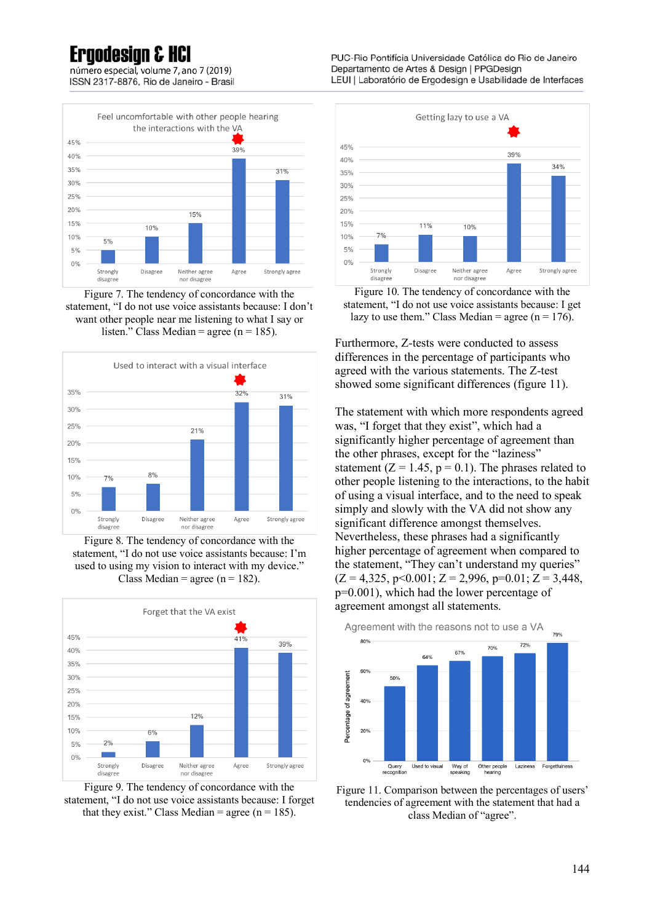número especial, volume 7, ano 7 (2019) ISSN 2317-8876. Rio de Janeiro - Brasil



Figure 7. The tendency of concordance with the statement, "I do not use voice assistants because: I don't want other people near me listening to what I say or listen." Class Median = agree (n = 185).



Figure 8. The tendency of concordance with the statement, "I do not use voice assistants because: I'm used to using my vision to interact with my device." Class Median = agree ( $n = 182$ ).





PUC-Rio Pontifícia Universidade Católica do Rio de Janeiro Departamento de Artes & Design | PPGDesign LEUI | Laboratório de Ergodesign e Usabilidade de Interfaces



Figure 10. The tendency of concordance with the statement, "I do not use voice assistants because: I get lazy to use them." Class Median = agree ( $n = 176$ ).

Furthermore, Z-tests were conducted to assess differences in the percentage of participants who agreed with the various statements. The Z-test showed some significant differences (figure 11).

The statement with which more respondents agreed was, "I forget that they exist", which had a significantly higher percentage of agreement than the other phrases, except for the "laziness" statement ( $Z = 1.45$ ,  $p = 0.1$ ). The phrases related to other people listening to the interactions, to the habit of using a visual interface, and to the need to speak simply and slowly with the VA did not show any significant difference amongst themselves. Nevertheless, these phrases had a significantly higher percentage of agreement when compared to the statement, "They can't understand my queries"  $(Z = 4,325, p \le 0.001; Z = 2,996, p = 0.01; Z = 3,448,$ p=0.001), which had the lower percentage of agreement amongst all statements.



Figure 11. Comparison between the percentages of users' tendencies of agreement with the statement that had a class Median of "agree".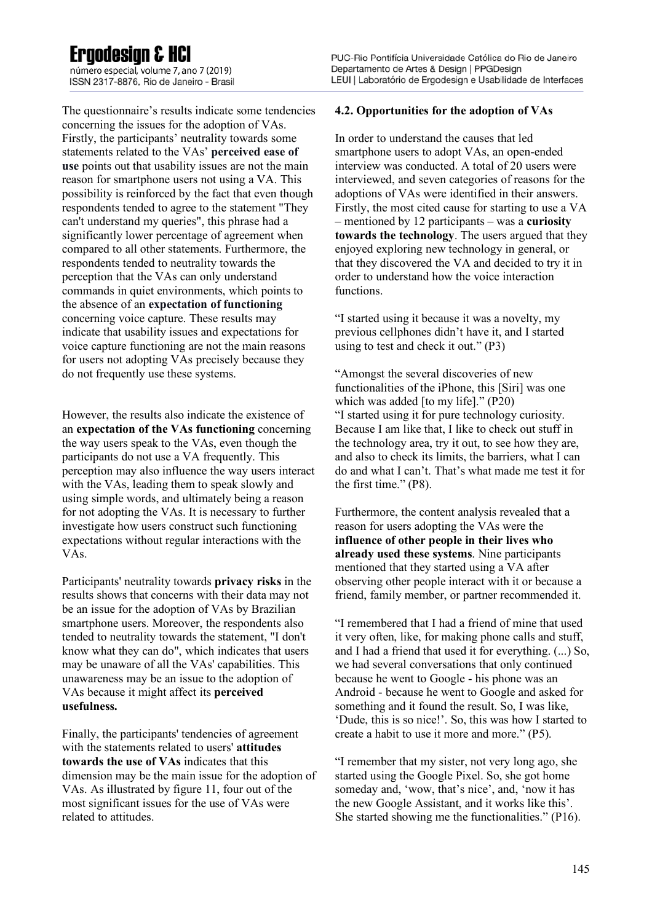número especial, volume 7, ano 7 (2019) ISSN 2317-8876. Rio de Janeiro - Brasil

The questionnaire's results indicate some tendencies concerning the issues for the adoption of VAs. Firstly, the participants' neutrality towards some statements related to the VAs' **perceived ease of use** points out that usability issues are not the main reason for smartphone users not using a VA. This possibility is reinforced by the fact that even though respondents tended to agree to the statement "They can't understand my queries", this phrase had a significantly lower percentage of agreement when compared to all other statements. Furthermore, the respondents tended to neutrality towards the perception that the VAs can only understand commands in quiet environments, which points to the absence of an **expectation of functioning**  concerning voice capture. These results may indicate that usability issues and expectations for voice capture functioning are not the main reasons for users not adopting VAs precisely because they do not frequently use these systems.

However, the results also indicate the existence of an **expectation of the VAs functioning** concerning the way users speak to the VAs, even though the participants do not use a VA frequently. This perception may also influence the way users interact with the VAs, leading them to speak slowly and using simple words, and ultimately being a reason for not adopting the VAs. It is necessary to further investigate how users construct such functioning expectations without regular interactions with the VAs.

Participants' neutrality towards **privacy risks** in the results shows that concerns with their data may not be an issue for the adoption of VAs by Brazilian smartphone users. Moreover, the respondents also tended to neutrality towards the statement, "I don't know what they can do", which indicates that users may be unaware of all the VAs' capabilities. This unawareness may be an issue to the adoption of VAs because it might affect its **perceived usefulness.**

Finally, the participants' tendencies of agreement with the statements related to users' **attitudes towards the use of VAs** indicates that this dimension may be the main issue for the adoption of VAs. As illustrated by figure 11, four out of the most significant issues for the use of VAs were related to attitudes.

#### **4.2. Opportunities for the adoption of VAs**

In order to understand the causes that led smartphone users to adopt VAs, an open-ended interview was conducted. A total of 20 users were interviewed, and seven categories of reasons for the adoptions of VAs were identified in their answers. Firstly, the most cited cause for starting to use a VA – mentioned by 12 participants – was a **curiosity towards the technology**. The users argued that they enjoyed exploring new technology in general, or that they discovered the VA and decided to try it in order to understand how the voice interaction functions.

"I started using it because it was a novelty, my previous cellphones didn't have it, and I started using to test and check it out." (P3)

"Amongst the several discoveries of new functionalities of the iPhone, this [Siri] was one which was added [to my life]." (P20) "I started using it for pure technology curiosity. Because I am like that, I like to check out stuff in the technology area, try it out, to see how they are, and also to check its limits, the barriers, what I can do and what I can't. That's what made me test it for the first time." (P8).

Furthermore, the content analysis revealed that a reason for users adopting the VAs were the **influence of other people in their lives who already used these systems**. Nine participants mentioned that they started using a VA after observing other people interact with it or because a friend, family member, or partner recommended it.

"I remembered that I had a friend of mine that used it very often, like, for making phone calls and stuff, and I had a friend that used it for everything. (...) So, we had several conversations that only continued because he went to Google - his phone was an Android - because he went to Google and asked for something and it found the result. So, I was like, 'Dude, this is so nice!'. So, this was how I started to create a habit to use it more and more." (P5).

"I remember that my sister, not very long ago, she started using the Google Pixel. So, she got home someday and, 'wow, that's nice', and, 'now it has the new Google Assistant, and it works like this'. She started showing me the functionalities." (P16).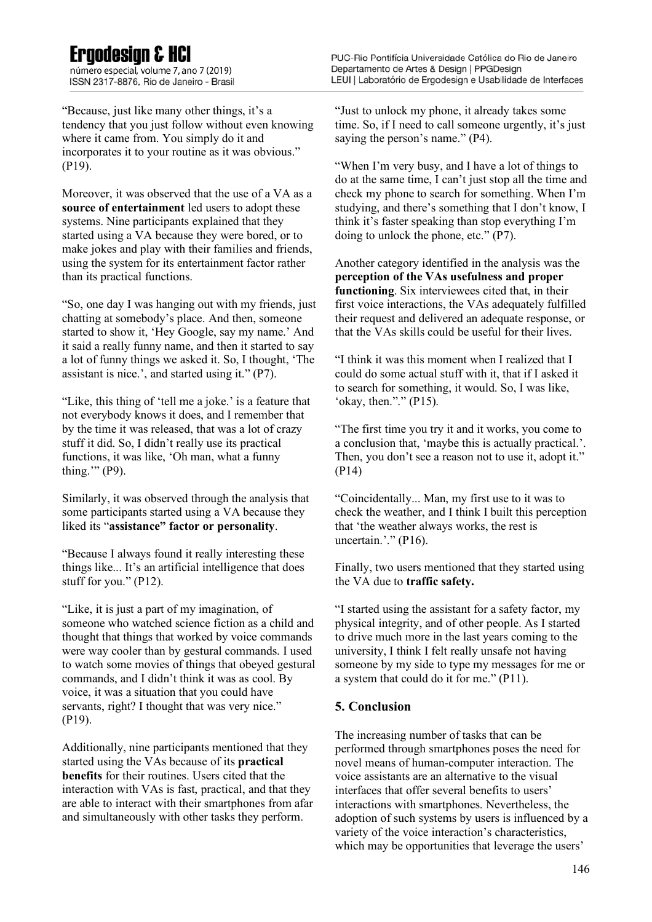## Frandesian & HCI

número especial, volume 7, ano 7 (2019) ISSN 2317-8876. Rio de Janeiro - Brasil

"Because, just like many other things, it's a tendency that you just follow without even knowing where it came from. You simply do it and incorporates it to your routine as it was obvious." (P19).

Moreover, it was observed that the use of a VA as a **source of entertainment** led users to adopt these systems. Nine participants explained that they started using a VA because they were bored, or to make jokes and play with their families and friends, using the system for its entertainment factor rather than its practical functions.

"So, one day I was hanging out with my friends, just chatting at somebody's place. And then, someone started to show it, 'Hey Google, say my name.' And it said a really funny name, and then it started to say a lot of funny things we asked it. So, I thought, 'The assistant is nice.', and started using it." (P7).

"Like, this thing of 'tell me a joke.' is a feature that not everybody knows it does, and I remember that by the time it was released, that was a lot of crazy stuff it did. So, I didn't really use its practical functions, it was like, 'Oh man, what a funny thing.'" (P9).

Similarly, it was observed through the analysis that some participants started using a VA because they liked its "**assistance" factor or personality**.

"Because I always found it really interesting these things like... It's an artificial intelligence that does stuff for you." (P12).

"Like, it is just a part of my imagination, of someone who watched science fiction as a child and thought that things that worked by voice commands were way cooler than by gestural commands. I used to watch some movies of things that obeyed gestural commands, and I didn't think it was as cool. By voice, it was a situation that you could have servants, right? I thought that was very nice." (P19).

Additionally, nine participants mentioned that they started using the VAs because of its **practical benefits** for their routines. Users cited that the interaction with VAs is fast, practical, and that they are able to interact with their smartphones from afar and simultaneously with other tasks they perform.

"Just to unlock my phone, it already takes some time. So, if I need to call someone urgently, it's just saying the person's name." (P4).

"When I'm very busy, and I have a lot of things to do at the same time, I can't just stop all the time and check my phone to search for something. When I'm studying, and there's something that I don't know, I think it's faster speaking than stop everything I'm doing to unlock the phone, etc." (P7).

Another category identified in the analysis was the **perception of the VAs usefulness and proper functioning**. Six interviewees cited that, in their first voice interactions, the VAs adequately fulfilled their request and delivered an adequate response, or that the VAs skills could be useful for their lives.

"I think it was this moment when I realized that I could do some actual stuff with it, that if I asked it to search for something, it would. So, I was like, 'okay, then."." (P15).

"The first time you try it and it works, you come to a conclusion that, 'maybe this is actually practical.'. Then, you don't see a reason not to use it, adopt it." (P14)

"Coincidentally... Man, my first use to it was to check the weather, and I think I built this perception that 'the weather always works, the rest is uncertain.'." (P16).

Finally, two users mentioned that they started using the VA due to **traffic safety.**

"I started using the assistant for a safety factor, my physical integrity, and of other people. As I started to drive much more in the last years coming to the university, I think I felt really unsafe not having someone by my side to type my messages for me or a system that could do it for me." (P11).

### **5. Conclusion**

The increasing number of tasks that can be performed through smartphones poses the need for novel means of human-computer interaction. The voice assistants are an alternative to the visual interfaces that offer several benefits to users' interactions with smartphones. Nevertheless, the adoption of such systems by users is influenced by a variety of the voice interaction's characteristics, which may be opportunities that leverage the users'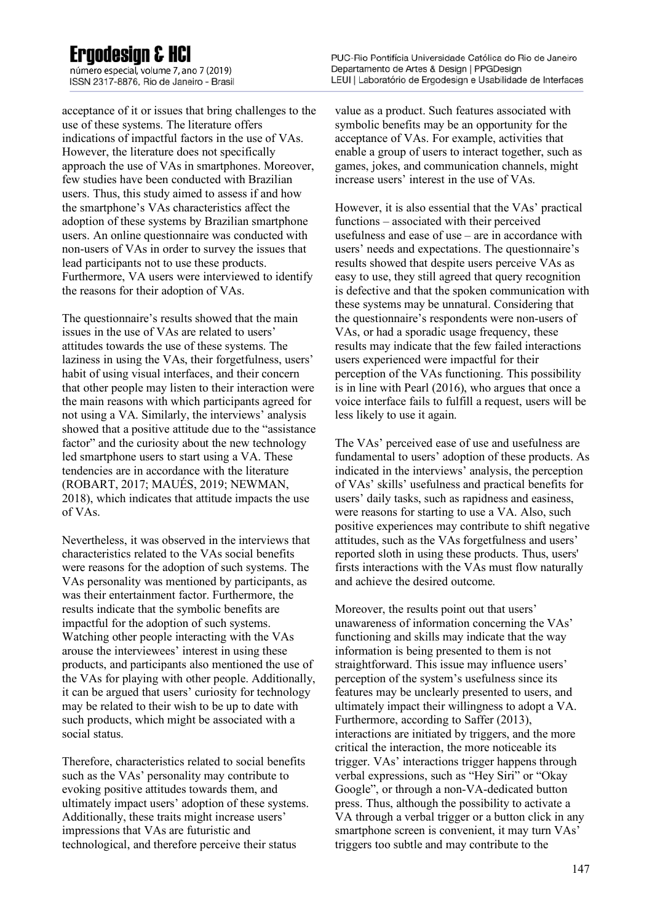número especial, volume 7, ano 7 (2019) ISSN 2317-8876. Rio de Janeiro - Brasil

acceptance of it or issues that bring challenges to the use of these systems. The literature offers indications of impactful factors in the use of VAs. However, the literature does not specifically approach the use of VAs in smartphones. Moreover, few studies have been conducted with Brazilian users. Thus, this study aimed to assess if and how the smartphone's VAs characteristics affect the adoption of these systems by Brazilian smartphone users. An online questionnaire was conducted with non-users of VAs in order to survey the issues that lead participants not to use these products. Furthermore, VA users were interviewed to identify the reasons for their adoption of VAs.

The questionnaire's results showed that the main issues in the use of VAs are related to users' attitudes towards the use of these systems. The laziness in using the VAs, their forgetfulness, users' habit of using visual interfaces, and their concern that other people may listen to their interaction were the main reasons with which participants agreed for not using a VA. Similarly, the interviews' analysis showed that a positive attitude due to the "assistance factor" and the curiosity about the new technology led smartphone users to start using a VA. These tendencies are in accordance with the literature (ROBART, 2017; MAUÉS, 2019; NEWMAN, 2018), which indicates that attitude impacts the use of VAs.

Nevertheless, it was observed in the interviews that characteristics related to the VAs social benefits were reasons for the adoption of such systems. The VAs personality was mentioned by participants, as was their entertainment factor. Furthermore, the results indicate that the symbolic benefits are impactful for the adoption of such systems. Watching other people interacting with the VAs arouse the interviewees' interest in using these products, and participants also mentioned the use of the VAs for playing with other people. Additionally, it can be argued that users' curiosity for technology may be related to their wish to be up to date with such products, which might be associated with a social status.

Therefore, characteristics related to social benefits such as the VAs' personality may contribute to evoking positive attitudes towards them, and ultimately impact users' adoption of these systems. Additionally, these traits might increase users' impressions that VAs are futuristic and technological, and therefore perceive their status

value as a product. Such features associated with symbolic benefits may be an opportunity for the acceptance of VAs. For example, activities that enable a group of users to interact together, such as games, jokes, and communication channels, might increase users' interest in the use of VAs.

However, it is also essential that the VAs' practical functions – associated with their perceived usefulness and ease of use – are in accordance with users' needs and expectations. The questionnaire's results showed that despite users perceive VAs as easy to use, they still agreed that query recognition is defective and that the spoken communication with these systems may be unnatural. Considering that the questionnaire's respondents were non-users of VAs, or had a sporadic usage frequency, these results may indicate that the few failed interactions users experienced were impactful for their perception of the VAs functioning. This possibility is in line with Pearl (2016), who argues that once a voice interface fails to fulfill a request, users will be less likely to use it again.

The VAs' perceived ease of use and usefulness are fundamental to users' adoption of these products. As indicated in the interviews' analysis, the perception of VAs' skills' usefulness and practical benefits for users' daily tasks, such as rapidness and easiness, were reasons for starting to use a VA. Also, such positive experiences may contribute to shift negative attitudes, such as the VAs forgetfulness and users' reported sloth in using these products. Thus, users' firsts interactions with the VAs must flow naturally and achieve the desired outcome.

Moreover, the results point out that users' unawareness of information concerning the VAs' functioning and skills may indicate that the way information is being presented to them is not straightforward. This issue may influence users' perception of the system's usefulness since its features may be unclearly presented to users, and ultimately impact their willingness to adopt a VA. Furthermore, according to Saffer (2013), interactions are initiated by triggers, and the more critical the interaction, the more noticeable its trigger. VAs' interactions trigger happens through verbal expressions, such as "Hey Siri" or "Okay Google", or through a non-VA-dedicated button press. Thus, although the possibility to activate a VA through a verbal trigger or a button click in any smartphone screen is convenient, it may turn VAs' triggers too subtle and may contribute to the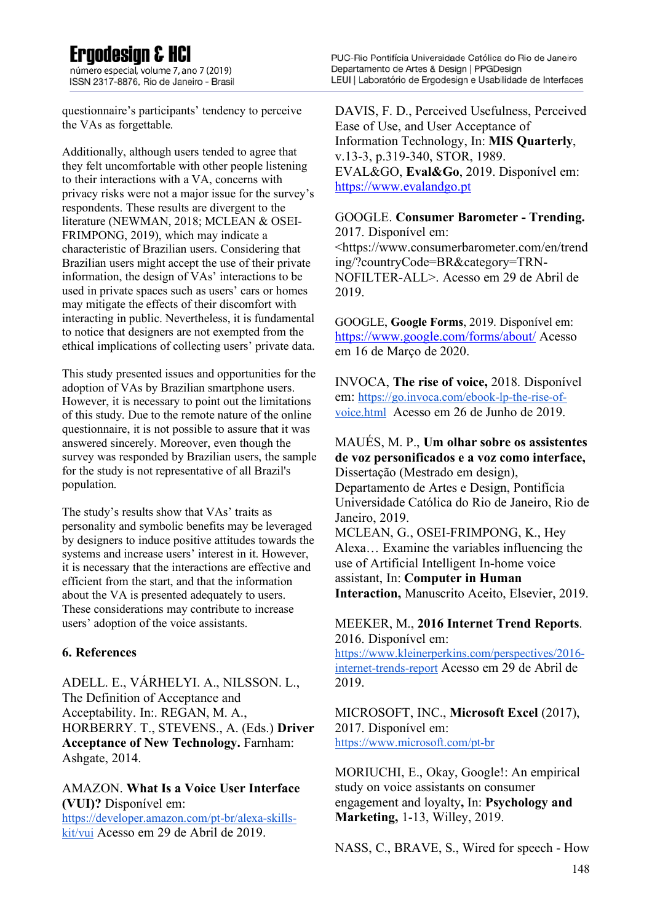número especial, volume 7, ano 7 (2019) ISSN 2317-8876. Rio de Janeiro - Brasil

questionnaire's participants' tendency to perceive the VAs as forgettable.

Additionally, although users tended to agree that they felt uncomfortable with other people listening to their interactions with a VA, concerns with privacy risks were not a major issue for the survey's respondents. These results are divergent to the literature (NEWMAN, 2018; MCLEAN & OSEI-FRIMPONG, 2019), which may indicate a characteristic of Brazilian users. Considering that Brazilian users might accept the use of their private information, the design of VAs' interactions to be used in private spaces such as users' cars or homes may mitigate the effects of their discomfort with interacting in public. Nevertheless, it is fundamental to notice that designers are not exempted from the ethical implications of collecting users' private data.

This study presented issues and opportunities for the adoption of VAs by Brazilian smartphone users. However, it is necessary to point out the limitations of this study. Due to the remote nature of the online questionnaire, it is not possible to assure that it was answered sincerely. Moreover, even though the survey was responded by Brazilian users, the sample for the study is not representative of all Brazil's population.

The study's results show that VAs' traits as personality and symbolic benefits may be leveraged by designers to induce positive attitudes towards the systems and increase users' interest in it. However, it is necessary that the interactions are effective and efficient from the start, and that the information about the VA is presented adequately to users. These considerations may contribute to increase users' adoption of the voice assistants.

### **6. References**

ADELL. E., VÁRHELYI. A., NILSSON. L., The Definition of Acceptance and Acceptability. In:. REGAN, M. A., HORBERRY. T., STEVENS., A. (Eds.) **Driver Acceptance of New Technology.** Farnham: Ashgate, 2014.

#### AMAZON. **What Is a Voice User Interface (VUI)?** Disponível em:

https://developer.amazon.com/pt-br/alexa-skillskit/vui Acesso em 29 de Abril de 2019.

DAVIS, F. D., Perceived Usefulness, Perceived Ease of Use, and User Acceptance of Information Technology, In: **MIS Quarterly**, v.13-3, p.319-340, STOR, 1989. EVAL&GO, **Eval&Go**, 2019. Disponível em: https://www.evalandgo.pt

#### GOOGLE. **Consumer Barometer - Trending.**  2017. Disponível em:

<https://www.consumerbarometer.com/en/trend ing/?countryCode=BR&category=TRN-NOFILTER-ALL>. Acesso em 29 de Abril de 2019.

GOOGLE, **Google Forms**, 2019. Disponível em: https://www.google.com/forms/about/ Acesso em 16 de Março de 2020.

INVOCA, **The rise of voice,** 2018. Disponível em: https://go.invoca.com/ebook-lp-the-rise-ofvoice.html Acesso em 26 de Junho de 2019.

### MAUÉS, M. P., **Um olhar sobre os assistentes de voz personificados e a voz como interface,**  Dissertação (Mestrado em design),

Departamento de Artes e Design, Pontifícia Universidade Católica do Rio de Janeiro, Rio de Janeiro, 2019.

MCLEAN, G., OSEI-FRIMPONG, K., Hey Alexa… Examine the variables influencing the use of Artificial Intelligent In-home voice assistant, In: **Computer in Human Interaction,** Manuscrito Aceito, Elsevier, 2019.

### MEEKER, M., **2016 Internet Trend Reports**. 2016. Disponível em:

https://www.kleinerperkins.com/perspectives/2016 internet-trends-report Acesso em 29 de Abril de 2019.

### MICROSOFT, INC., **Microsoft Excel** (2017), 2017. Disponível em: https://www.microsoft.com/pt-br

MORIUCHI, E., Okay, Google!: An empirical study on voice assistants on consumer engagement and loyalty**,** In: **Psychology and Marketing,** 1-13, Willey, 2019.

NASS, C., BRAVE, S., Wired for speech - How